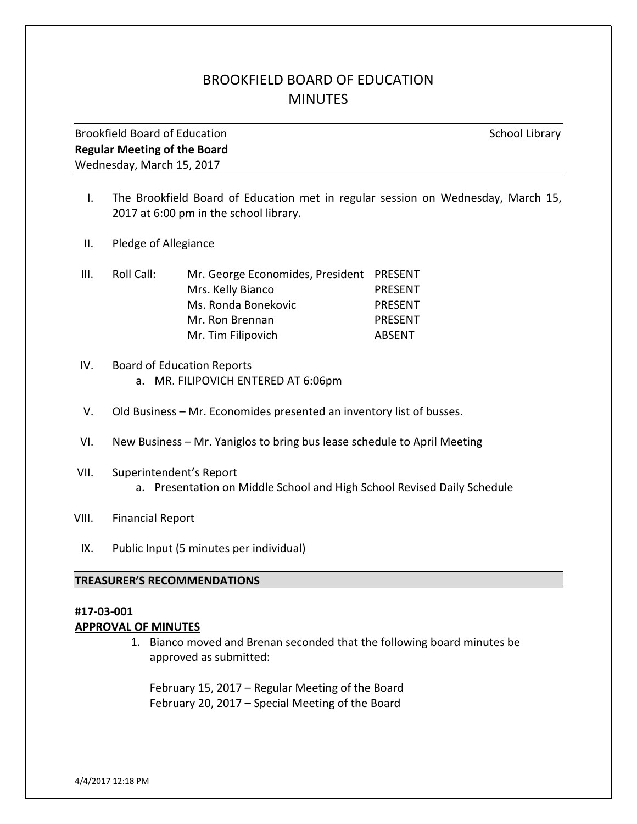# BROOKFIELD BOARD OF EDUCATION **MINUTES**

Brookfield Board of Education School Library School Library **Regular Meeting of the Board** Wednesday, March 15, 2017

I. The Brookfield Board of Education met in regular session on Wednesday, March 15, 2017 at 6:00 pm in the school library.

II. Pledge of Allegiance

| III. | Roll Call: | Mr. George Economides, President PRESENT |                |
|------|------------|------------------------------------------|----------------|
|      |            | Mrs. Kelly Bianco                        | PRESENT        |
|      |            | Ms. Ronda Bonekovic                      | <b>PRESENT</b> |
|      |            | Mr. Ron Brennan                          | <b>PRESENT</b> |
|      |            | Mr. Tim Filipovich                       | ABSENT         |

- IV. Board of Education Reports a. MR. FILIPOVICH ENTERED AT 6:06pm
- V. Old Business Mr. Economides presented an inventory list of busses.
- VI. New Business Mr. Yaniglos to bring bus lease schedule to April Meeting
- VII. Superintendent's Report a. Presentation on Middle School and High School Revised Daily Schedule
- VIII. Financial Report
- IX. Public Input (5 minutes per individual)

### **TREASURER'S RECOMMENDATIONS**

## **#17-03-001 APPROVAL OF MINUTES**

1. Bianco moved and Brenan seconded that the following board minutes be approved as submitted:

February 15, 2017 – Regular Meeting of the Board February 20, 2017 – Special Meeting of the Board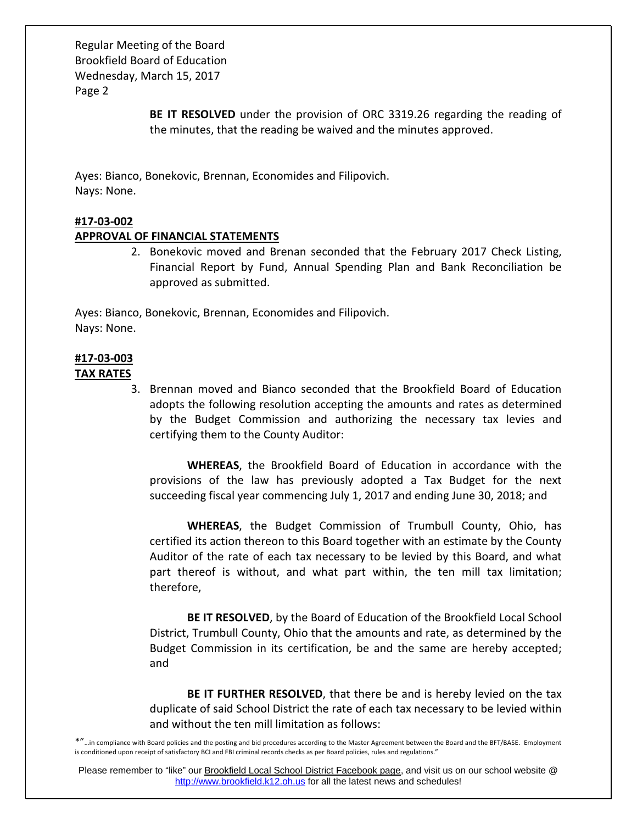> **BE IT RESOLVED** under the provision of ORC 3319.26 regarding the reading of the minutes, that the reading be waived and the minutes approved.

Ayes: Bianco, Bonekovic, Brennan, Economides and Filipovich. Nays: None.

### **#17-03-002**

### **APPROVAL OF FINANCIAL STATEMENTS**

2. Bonekovic moved and Brenan seconded that the February 2017 Check Listing, Financial Report by Fund, Annual Spending Plan and Bank Reconciliation be approved as submitted.

Ayes: Bianco, Bonekovic, Brennan, Economides and Filipovich. Nays: None.

## **#17-03-003 TAX RATES**

3. Brennan moved and Bianco seconded that the Brookfield Board of Education adopts the following resolution accepting the amounts and rates as determined by the Budget Commission and authorizing the necessary tax levies and certifying them to the County Auditor:

**WHEREAS**, the Brookfield Board of Education in accordance with the provisions of the law has previously adopted a Tax Budget for the next succeeding fiscal year commencing July 1, 2017 and ending June 30, 2018; and

**WHEREAS**, the Budget Commission of Trumbull County, Ohio, has certified its action thereon to this Board together with an estimate by the County Auditor of the rate of each tax necessary to be levied by this Board, and what part thereof is without, and what part within, the ten mill tax limitation; therefore,

**BE IT RESOLVED**, by the Board of Education of the Brookfield Local School District, Trumbull County, Ohio that the amounts and rate, as determined by the Budget Commission in its certification, be and the same are hereby accepted; and

**BE IT FURTHER RESOLVED**, that there be and is hereby levied on the tax duplicate of said School District the rate of each tax necessary to be levied within and without the ten mill limitation as follows:

\*"…in compliance with Board policies and the posting and bid procedures according to the Master Agreement between the Board and the BFT/BASE. Employment is conditioned upon receipt of satisfactory BCI and FBI criminal records checks as per Board policies, rules and regulations."

Please remember to "like" our Brookfield Local School District Facebook page, and visit us on our school website @ [http://www.brookfield.k12.oh.us](http://www.brookfield.k12.oh.us/) for all the latest news and schedules!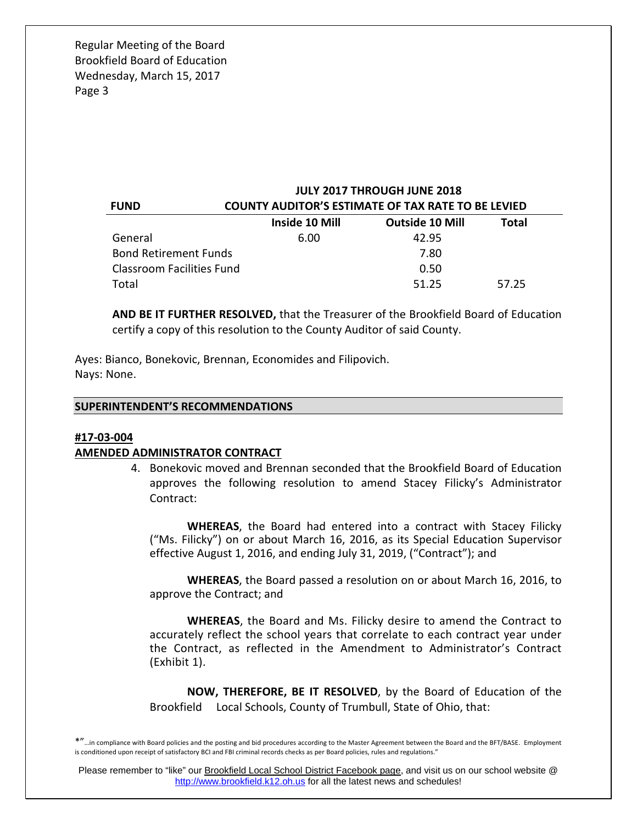|                                  |                                                           | <b>JULY 2017 THROUGH JUNE 2018</b> |       |
|----------------------------------|-----------------------------------------------------------|------------------------------------|-------|
| <b>FUND</b>                      | <b>COUNTY AUDITOR'S ESTIMATE OF TAX RATE TO BE LEVIED</b> |                                    |       |
|                                  | Inside 10 Mill                                            | <b>Outside 10 Mill</b>             | Total |
| General                          | 6.00                                                      | 42.95                              |       |
| <b>Bond Retirement Funds</b>     |                                                           | 7.80                               |       |
| <b>Classroom Facilities Fund</b> |                                                           | 0.50                               |       |
| Total                            |                                                           | 51.25                              | 57.25 |

**AND BE IT FURTHER RESOLVED,** that the Treasurer of the Brookfield Board of Education certify a copy of this resolution to the County Auditor of said County.

Ayes: Bianco, Bonekovic, Brennan, Economides and Filipovich. Nays: None.

### **SUPERINTENDENT'S RECOMMENDATIONS**

### **#17-03-004**

#### **AMENDED ADMINISTRATOR CONTRACT**

4. Bonekovic moved and Brennan seconded that the Brookfield Board of Education approves the following resolution to amend Stacey Filicky's Administrator Contract:

**WHEREAS**, the Board had entered into a contract with Stacey Filicky ("Ms. Filicky") on or about March 16, 2016, as its Special Education Supervisor effective August 1, 2016, and ending July 31, 2019, ("Contract"); and

**WHEREAS**, the Board passed a resolution on or about March 16, 2016, to approve the Contract; and

**WHEREAS**, the Board and Ms. Filicky desire to amend the Contract to accurately reflect the school years that correlate to each contract year under the Contract, as reflected in the Amendment to Administrator's Contract (Exhibit 1).

**NOW, THEREFORE, BE IT RESOLVED**, by the Board of Education of the Brookfield Local Schools, County of Trumbull, State of Ohio, that:

Please remember to "like" our Brookfield Local School District Facebook page, and visit us on our school website @ [http://www.brookfield.k12.oh.us](http://www.brookfield.k12.oh.us/) for all the latest news and schedules!

<sup>\*&</sup>quot;…in compliance with Board policies and the posting and bid procedures according to the Master Agreement between the Board and the BFT/BASE. Employment is conditioned upon receipt of satisfactory BCI and FBI criminal records checks as per Board policies, rules and regulations."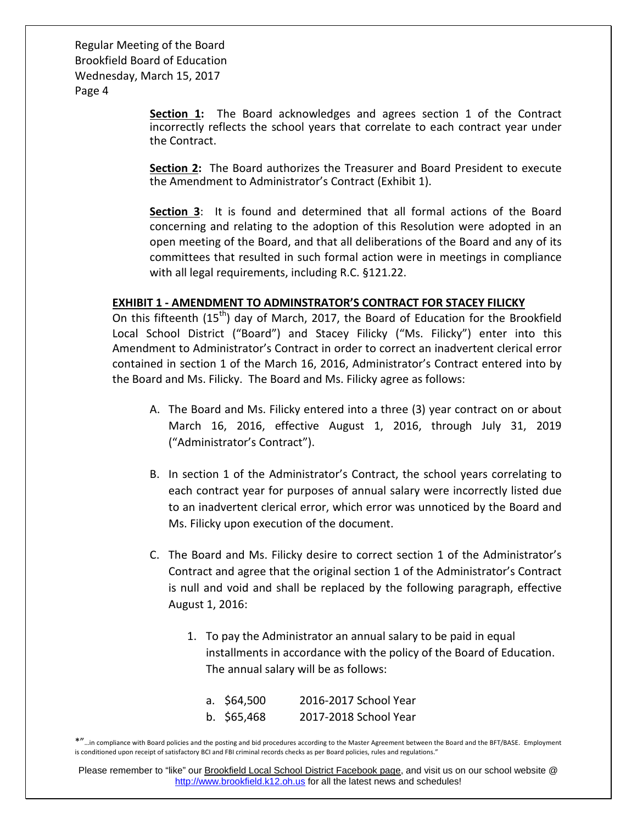> **Section 1:** The Board acknowledges and agrees section 1 of the Contract incorrectly reflects the school years that correlate to each contract year under the Contract.

> **Section 2:** The Board authorizes the Treasurer and Board President to execute the Amendment to Administrator's Contract (Exhibit 1).

> **Section 3**: It is found and determined that all formal actions of the Board concerning and relating to the adoption of this Resolution were adopted in an open meeting of the Board, and that all deliberations of the Board and any of its committees that resulted in such formal action were in meetings in compliance with all legal requirements, including R.C. §121.22.

## **EXHIBIT 1 - AMENDMENT TO ADMINSTRATOR'S CONTRACT FOR STACEY FILICKY**

On this fifteenth (15<sup>th</sup>) day of March, 2017, the Board of Education for the Brookfield Local School District ("Board") and Stacey Filicky ("Ms. Filicky") enter into this Amendment to Administrator's Contract in order to correct an inadvertent clerical error contained in section 1 of the March 16, 2016, Administrator's Contract entered into by the Board and Ms. Filicky. The Board and Ms. Filicky agree as follows:

- A. The Board and Ms. Filicky entered into a three (3) year contract on or about March 16, 2016, effective August 1, 2016, through July 31, 2019 ("Administrator's Contract").
- B. In section 1 of the Administrator's Contract, the school years correlating to each contract year for purposes of annual salary were incorrectly listed due to an inadvertent clerical error, which error was unnoticed by the Board and Ms. Filicky upon execution of the document.
- C. The Board and Ms. Filicky desire to correct section 1 of the Administrator's Contract and agree that the original section 1 of the Administrator's Contract is null and void and shall be replaced by the following paragraph, effective August 1, 2016:
	- 1. To pay the Administrator an annual salary to be paid in equal installments in accordance with the policy of the Board of Education. The annual salary will be as follows:

| a. \$64,500 | 2016-2017 School Year |
|-------------|-----------------------|
|-------------|-----------------------|

b. \$65,468 2017-2018 School Year

\*"…in compliance with Board policies and the posting and bid procedures according to the Master Agreement between the Board and the BFT/BASE. Employment is conditioned upon receipt of satisfactory BCI and FBI criminal records checks as per Board policies, rules and regulations."

Please remember to "like" our Brookfield Local School District Facebook page, and visit us on our school website @ [http://www.brookfield.k12.oh.us](http://www.brookfield.k12.oh.us/) for all the latest news and schedules!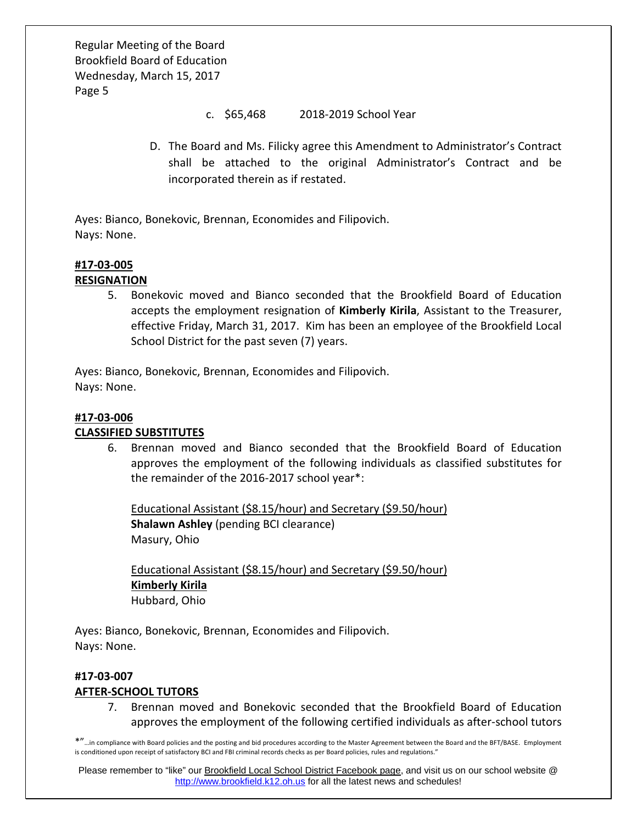- c. \$65,468 2018-2019 School Year
- D. The Board and Ms. Filicky agree this Amendment to Administrator's Contract shall be attached to the original Administrator's Contract and be incorporated therein as if restated.

Ayes: Bianco, Bonekovic, Brennan, Economides and Filipovich. Nays: None.

## **#17-03-005**

## **RESIGNATION**

5. Bonekovic moved and Bianco seconded that the Brookfield Board of Education accepts the employment resignation of **Kimberly Kirila**, Assistant to the Treasurer, effective Friday, March 31, 2017. Kim has been an employee of the Brookfield Local School District for the past seven (7) years.

Ayes: Bianco, Bonekovic, Brennan, Economides and Filipovich. Nays: None.

## **#17-03-006**

## **CLASSIFIED SUBSTITUTES**

6. Brennan moved and Bianco seconded that the Brookfield Board of Education approves the employment of the following individuals as classified substitutes for the remainder of the 2016-2017 school year\*:

Educational Assistant (\$8.15/hour) and Secretary (\$9.50/hour) **Shalawn Ashley** (pending BCI clearance) Masury, Ohio

Educational Assistant (\$8.15/hour) and Secretary (\$9.50/hour) **Kimberly Kirila** Hubbard, Ohio

Ayes: Bianco, Bonekovic, Brennan, Economides and Filipovich. Nays: None.

# **#17-03-007**

## **AFTER-SCHOOL TUTORS**

7. Brennan moved and Bonekovic seconded that the Brookfield Board of Education approves the employment of the following certified individuals as after-school tutors

\*"…in compliance with Board policies and the posting and bid procedures according to the Master Agreement between the Board and the BFT/BASE. Employment is conditioned upon receipt of satisfactory BCI and FBI criminal records checks as per Board policies, rules and regulations."

Please remember to "like" our Brookfield Local School District Facebook page, and visit us on our school website @ [http://www.brookfield.k12.oh.us](http://www.brookfield.k12.oh.us/) for all the latest news and schedules!